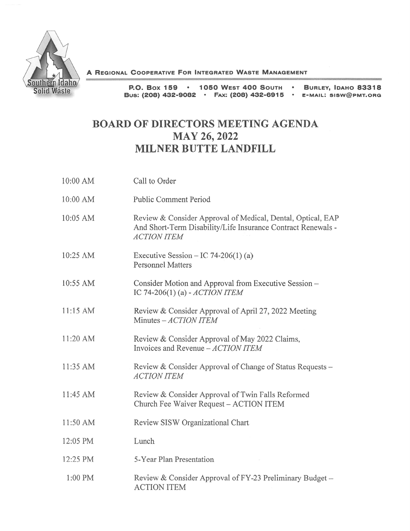

A REGIONAL COOPERATIVE FOR INTEGRATED WASTE MANAGEMENT

P.O. Box 1 59 • 1 050 WEST 400 SOUTH •BUS: (208) 432-9082 • F4x: (208) 432-6915 • E-MAIL: SISW@PMT.ORG BURLEY, IDAHO 83318

## BOARD OF DIRECTORS MEETING AGENDA MAY 26, 2022 MILNER BUTTE LANDFILL

| 10:00 AM   | Call to Order                                                                                                                                     |
|------------|---------------------------------------------------------------------------------------------------------------------------------------------------|
| $10:00$ AM | <b>Public Comment Period</b>                                                                                                                      |
| 10:05 AM   | Review & Consider Approval of Medical, Dental, Optical, EAP<br>And Short-Term Disability/Life Insurance Contract Renewals -<br><b>ACTION ITEM</b> |
| 10:25 AM   | Executive Session – IC 74-206(1) (a)<br><b>Personnel Matters</b>                                                                                  |
| 10:55 AM   | Consider Motion and Approval from Executive Session -<br>IC 74-206(1) (a) - ACTION ITEM                                                           |
| 11:15 AM   | Review & Consider Approval of April 27, 2022 Meeting<br>Minutes - ACTION ITEM                                                                     |
| 11:20 AM   | Review & Consider Approval of May 2022 Claims,<br>Invoices and Revenue - ACTION ITEM                                                              |
| 11:35 AM   | Review & Consider Approval of Change of Status Requests -<br><b>ACTION ITEM</b>                                                                   |
| 11:45 AM   | Review & Consider Approval of Twin Falls Reformed<br>Church Fee Waiver Request - ACTION ITEM                                                      |
| 11:50 AM   | Review SISW Organizational Chart                                                                                                                  |
| 12:05 PM   | Lunch                                                                                                                                             |
| 12:25 PM   | 5-Year Plan Presentation                                                                                                                          |
| 1:00 PM    | Review & Consider Approval of FY-23 Preliminary Budget -<br><b>ACTION ITEM</b>                                                                    |